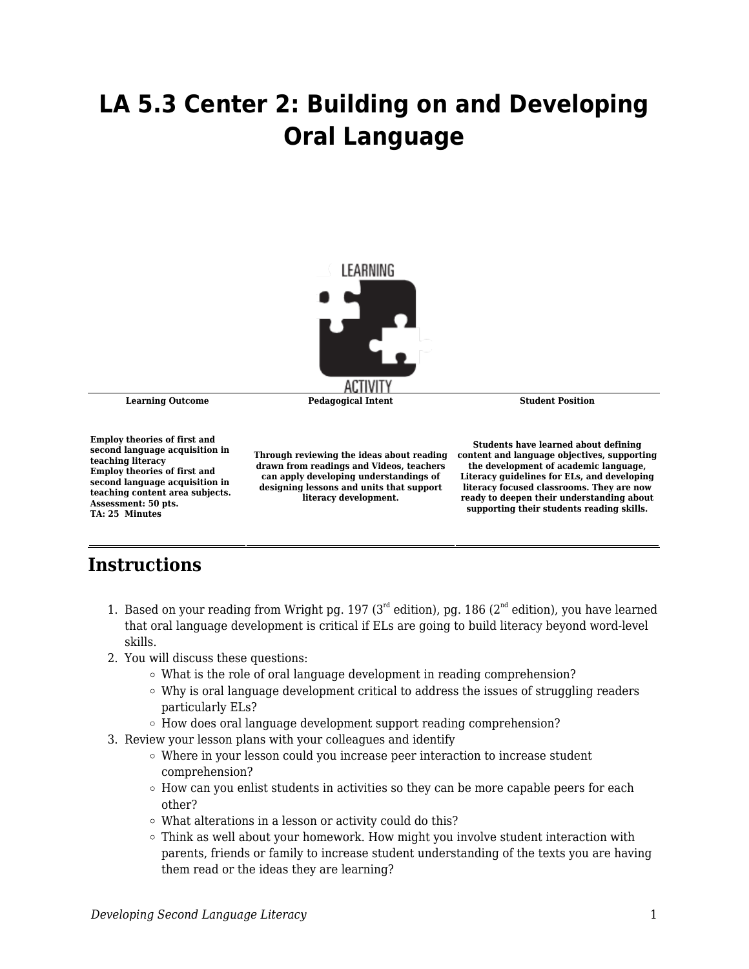## **LA 5.3 Center 2: Building on and Developing Oral Language**



**Learning Outcome Pedagogical Intent Student Position**

**Employ theories of first and second language acquisition in teaching literacy Employ theories of first and second language acquisition in teaching content area subjects. Assessment: 50 pts. TA: 25 Minutes**

**Through reviewing the ideas about reading drawn from readings and Videos, teachers can apply developing understandings of designing lessons and units that support literacy development.**

**Students have learned about defining content and language objectives, supporting the development of academic language, Literacy guidelines for ELs, and developing literacy focused classrooms. They are now ready to deepen their understanding about supporting their students reading skills.**

## **Instructions**

- 1. Based on your reading from Wright pg. 197 ( $3<sup>rd</sup>$  edition), pg. 186 ( $2<sup>nd</sup>$  edition), you have learned that oral language development is critical if ELs are going to build literacy beyond word-level skills.
- 2. You will discuss these questions:
	- $\circ$  What is the role of oral language development in reading comprehension?
	- $\circ$  Why is oral language development critical to address the issues of struggling readers particularly ELs?
	- How does oral language development support reading comprehension?
- 3. Review your lesson plans with your colleagues and identify
	- $\circ$  Where in your lesson could you increase peer interaction to increase student comprehension?
	- $\circ$  How can you enlist students in activities so they can be more capable peers for each other?
	- What alterations in a lesson or activity could do this?
	- $\circ$  Think as well about your homework. How might you involve student interaction with parents, friends or family to increase student understanding of the texts you are having them read or the ideas they are learning?